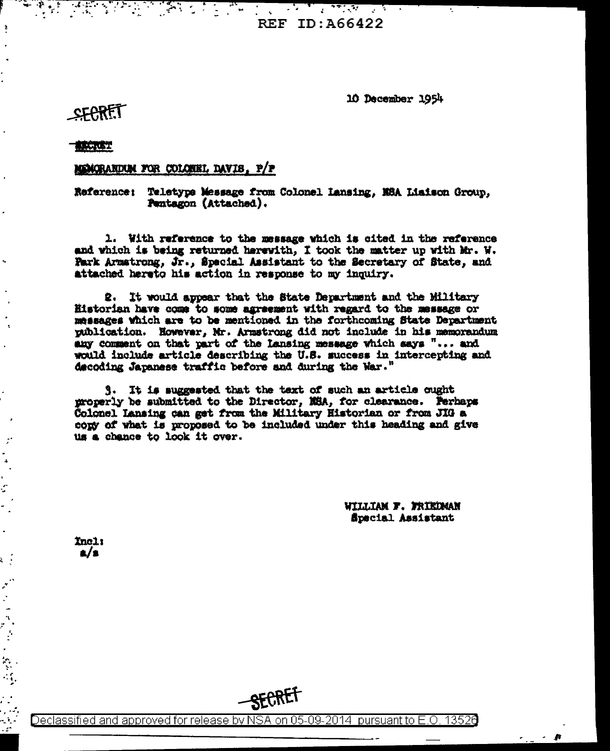**A PARTIE DE ARANTE EN PARTIE DE LA PARTIE DE LA PARTIE DE LA PARTIE DE LA PARTIE DE LA PARTIE DE LA PARTIE DE**<br>LA PARTIE DE LA PARTIE DE LA PARTIE DE LA PARTIE DE LA PARTIE DE LA PARTIE DE LA PARTIE DE LA PARTIE DE LA PAR **REF ID: A66422** 

10 December 1954

## **SFARET**

 $\ddot{\phantom{a}}$ 

i.

**x** 

 $\mathcal{I}$  $\ddot{\phantom{0}}$  $\hat{\mathbf{A}}$  $\mathbf{r}$ ċ

્

 $\mathbf{r}^2$ 

 $\ddot{\phantom{0}}$ في ال

والأرم  $\mathbb{R}^4$ 

## **BECKET**

## MENGRANDUM FOR COLONEL DAVIS, P/P

Reference: Teletype Message from Colonel Lansing, MSA Liaison Group, Pentagon (Attached).

1. With reference to the message which is cited in the reference and which is being returned herewith, I took the matter up with Mr. W. Fark Armstrong, Jr., Special Assistant to the Secretary of State, and attached hereto his action in response to my inquiry.

2. It would appear that the State Department and the Military Historian have come to some agreement with regard to the message or messages which are to be mentioned in the forthcoming State Department publication. However, Mr. Armstrong did not include in his memorandum any comment on that part of the lansing message which says "... and would include article describing the U.S. success in intercepting and decoding Japanese traffic before and during the War."

3. It is suggested that the text of such an article ought properly be submitted to the Director, NSA, for clearance. Perhaps Colonel Lansing can get from the Military Historian or from JIG a cony of what is proposed to be included under this heading and give us a chance to look it over.

> WILLIAM F. FRIEDMAN Special Assistant

> > A

Incl:  $\mathbf{a}/\mathbf{s}$ 

SECRET